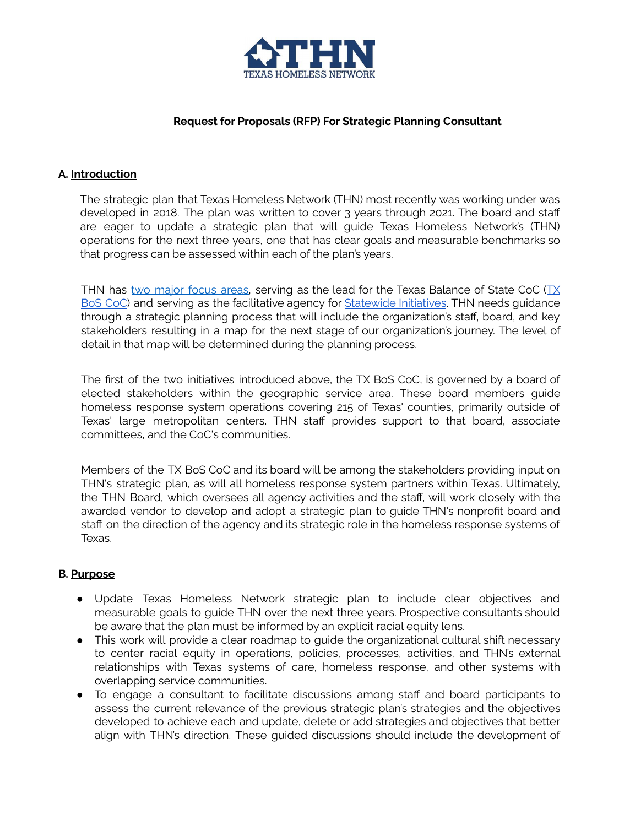

#### **Request for Proposals (RFP) For Strategic Planning Consultant**

#### **A. Introduction**

The strategic plan that Texas Homeless Network (THN) most recently was working under was developed in 2018. The plan was written to cover 3 years through 2021. The board and staff are eager to update a strategic plan that will guide Texas Homeless Network's (THN) operations for the next three years, one that has clear goals and measurable benchmarks so that progress can be assessed within each of the plan's years.

THN has two [major](https://www.thn.org/misson/) focus areas, serving as the lead for the Texas Balance of State CoC ([TX](https://www.thn.org/texas-balance-state-continuum-care/) BoS [CoC\)](https://www.thn.org/texas-balance-state-continuum-care/) and serving as the facilitative agency for [Statewide](https://www.thn.org/policy-advocacy/) Initiatives. THN needs guidance through a strategic planning process that will include the organization's staff, board, and key stakeholders resulting in a map for the next stage of our organization's journey. The level of detail in that map will be determined during the planning process.

The first of the two initiatives introduced above, the TX BoS CoC, is governed by a board of elected stakeholders within the geographic service area. These board members guide homeless response system operations covering 215 of Texas' counties, primarily outside of Texas' large metropolitan centers. THN staff provides support to that board, associate committees, and the CoC's communities.

Members of the TX BoS CoC and its board will be among the stakeholders providing input on THN's strategic plan, as will all homeless response system partners within Texas. Ultimately, the THN Board, which oversees all agency activities and the staff, will work closely with the awarded vendor to develop and adopt a strategic plan to guide THN's nonprofit board and staff on the direction of the agency and its strategic role in the homeless response systems of Texas.

#### **B. Purpose**

- Update Texas Homeless Network strategic plan to include clear objectives and measurable goals to guide THN over the next three years. Prospective consultants should be aware that the plan must be informed by an explicit racial equity lens.
- This work will provide a clear roadmap to guide the organizational cultural shift necessary to center racial equity in operations, policies, processes, activities, and THN's external relationships with Texas systems of care, homeless response, and other systems with overlapping service communities.
- To engage a consultant to facilitate discussions among staff and board participants to assess the current relevance of the previous strategic plan's strategies and the objectives developed to achieve each and update, delete or add strategies and objectives that better align with THN's direction. These guided discussions should include the development of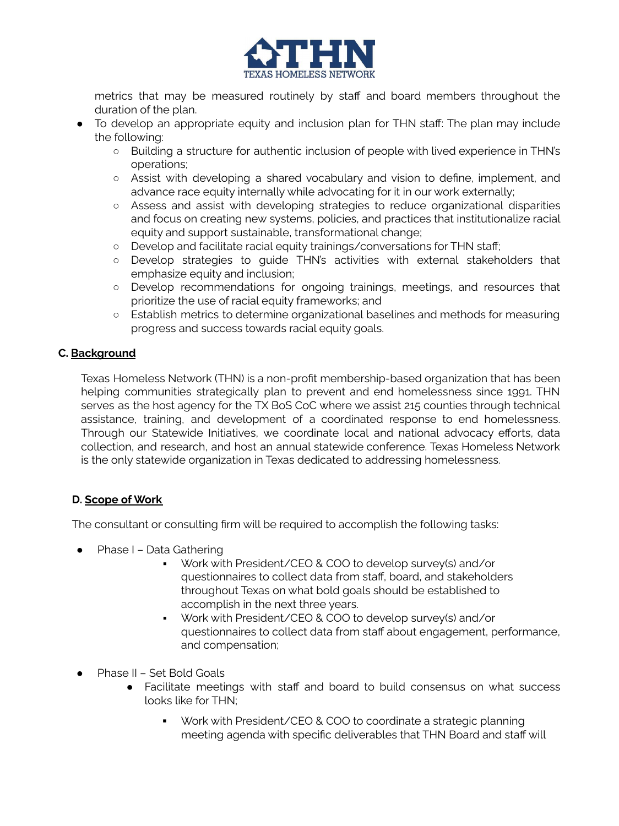

metrics that may be measured routinely by staff and board members throughout the duration of the plan.

- To develop an appropriate equity and inclusion plan for THN staff: The plan may include the following:
	- Building a structure for authentic inclusion of people with lived experience in THN's operations;
	- Assist with developing a shared vocabulary and vision to define, implement, and advance race equity internally while advocating for it in our work externally;
	- Assess and assist with developing strategies to reduce organizational disparities and focus on creating new systems, policies, and practices that institutionalize racial equity and support sustainable, transformational change;
	- Develop and facilitate racial equity trainings/conversations for THN staff;
	- Develop strategies to guide THN's activities with external stakeholders that emphasize equity and inclusion;
	- **○** Develop recommendations for ongoing trainings, meetings, and resources that prioritize the use of racial equity frameworks; and
	- Establish metrics to determine organizational baselines and methods for measuring progress and success towards racial equity goals.

#### **C. Background**

Texas Homeless Network (THN) is a non-profit membership-based organization that has been helping communities strategically plan to prevent and end homelessness since 1991. THN serves as the host agency for the TX BoS CoC where we assist 215 counties through technical assistance, training, and development of a coordinated response to end homelessness. Through our Statewide Initiatives, we coordinate local and national advocacy efforts, data collection, and research, and host an annual statewide conference. Texas Homeless Network is the only statewide organization in Texas dedicated to addressing homelessness.

# **D. Scope of Work**

The consultant or consulting firm will be required to accomplish the following tasks:

- Phase I Data Gathering
	- Work with President/CEO & COO to develop survey(s) and/or questionnaires to collect data from staff, board, and stakeholders throughout Texas on what bold goals should be established to accomplish in the next three years.
	- Work with President/CEO & COO to develop survey(s) and/or questionnaires to collect data from staff about engagement, performance, and compensation;
- Phase II Set Bold Goals
	- Facilitate meetings with staff and board to build consensus on what success looks like for THN;
		- Work with President/CEO & COO to coordinate a strategic planning meeting agenda with specific deliverables that THN Board and staff will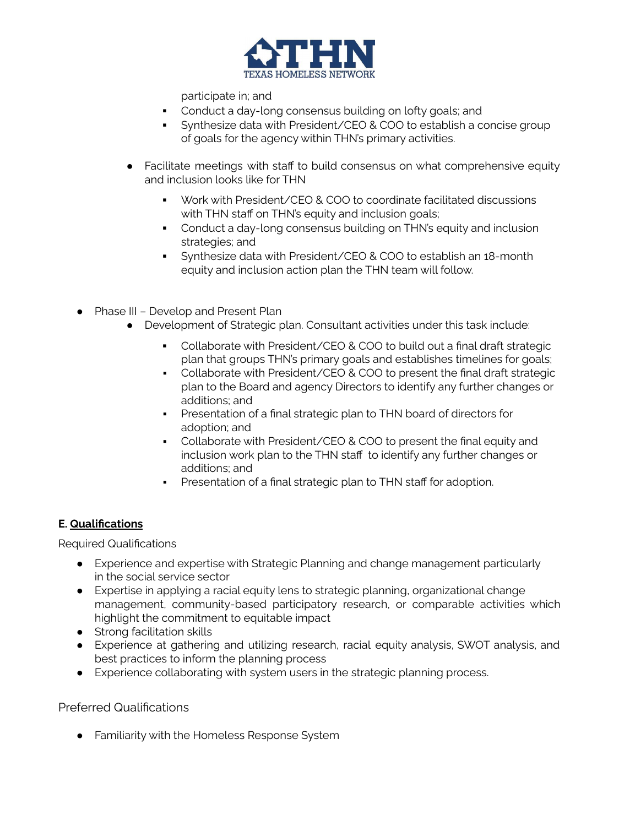

participate in; and

- Conduct a day-long consensus building on lofty goals; and
- Synthesize data with President/CEO & COO to establish a concise group of goals for the agency within THN's primary activities.
- Facilitate meetings with staff to build consensus on what comprehensive equity and inclusion looks like for THN
	- Work with President/CEO & COO to coordinate facilitated discussions with THN staff on THN's equity and inclusion goals;
	- Conduct a day-long consensus building on THN's equity and inclusion strategies; and
	- **•** Synthesize data with President/CEO & COO to establish an 18-month equity and inclusion action plan the THN team will follow.
- Phase III Develop and Present Plan
	- Development of Strategic plan. Consultant activities under this task include:
		- Collaborate with President/CEO & COO to build out a final draft strategic plan that groups THN's primary goals and establishes timelines for goals;
		- Collaborate with President/CEO & COO to present the final draft strategic plan to the Board and agency Directors to identify any further changes or additions; and
		- **•** Presentation of a final strategic plan to THN board of directors for adoption; and
		- Collaborate with President/CEO & COO to present the final equity and inclusion work plan to the THN staff to identify any further changes or additions; and
		- **•** Presentation of a final strategic plan to THN staff for adoption.

# **E. Qualifications**

Required Qualifications

- Experience and expertise with Strategic Planning and change management particularly in the social service sector
- Expertise in applying a racial equity lens to strategic planning, organizational change management, community-based participatory research, or comparable activities which highlight the commitment to equitable impact
- Strong facilitation skills
- Experience at gathering and utilizing research, racial equity analysis, SWOT analysis, and best practices to inform the planning process
- Experience collaborating with system users in the strategic planning process.

# Preferred Qualifications

● Familiarity with the Homeless Response System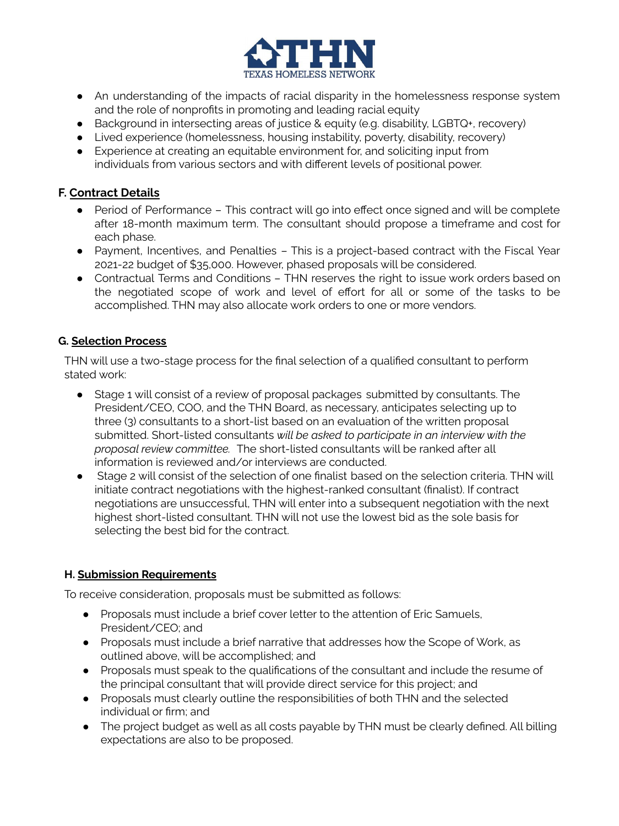

- An understanding of the impacts of racial disparity in the homelessness response system and the role of nonprofits in promoting and leading racial equity
- Background in intersecting areas of justice & equity (e.g. disability, LGBTQ+, recovery)
- Lived experience (homelessness, housing instability, poverty, disability, recovery)
- Experience at creating an equitable environment for, and soliciting input from individuals from various sectors and with different levels of positional power.

# **F. Contract Details**

- Period of Performance This contract will go into effect once signed and will be complete after 18-month maximum term. The consultant should propose a timeframe and cost for each phase.
- Payment, Incentives, and Penalties This is a project-based contract with the Fiscal Year 2021-22 budget of \$35,000. However, phased proposals will be considered.
- Contractual Terms and Conditions THN reserves the right to issue work orders based on the negotiated scope of work and level of effort for all or some of the tasks to be accomplished. THN may also allocate work orders to one or more vendors.

#### **G. Selection Process**

THN will use a two-stage process for the final selection of a qualified consultant to perform stated work:

- Stage 1 will consist of a review of proposal packages submitted by consultants. The President/CEO, COO, and the THN Board, as necessary, anticipates selecting up to three (3) consultants to a short-list based on an evaluation of the written proposal submitted. Short-listed consultants *will be asked to participate in an interview with the proposal review committee.* The short-listed consultants will be ranked after all information is reviewed and/or interviews are conducted.
- Stage 2 will consist of the selection of one finalist based on the selection criteria. THN will initiate contract negotiations with the highest-ranked consultant (finalist). If contract negotiations are unsuccessful, THN will enter into a subsequent negotiation with the next highest short-listed consultant. THN will not use the lowest bid as the sole basis for selecting the best bid for the contract.

# **H. Submission Requirements**

To receive consideration, proposals must be submitted as follows:

- Proposals must include a brief cover letter to the attention of Eric Samuels, President/CEO; and
- Proposals must include a brief narrative that addresses how the Scope of Work, as outlined above, will be accomplished; and
- Proposals must speak to the qualifications of the consultant and include the resume of the principal consultant that will provide direct service for this project; and
- Proposals must clearly outline the responsibilities of both THN and the selected individual or firm; and
- The project budget as well as all costs payable by THN must be clearly defined. All billing expectations are also to be proposed.